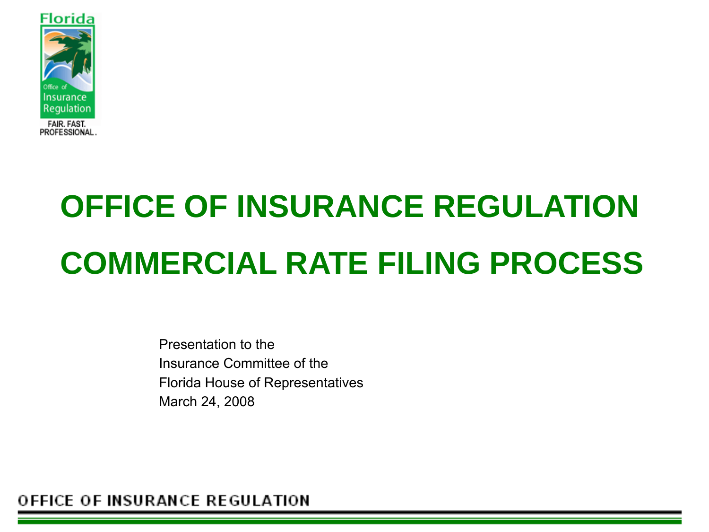

# **OFFICE OF INSURANCE REGULATION COMMERCIAL RATE FILING PROCESS**

Presentation to the Insurance Committee of the Florida House of Representatives March 24, 2008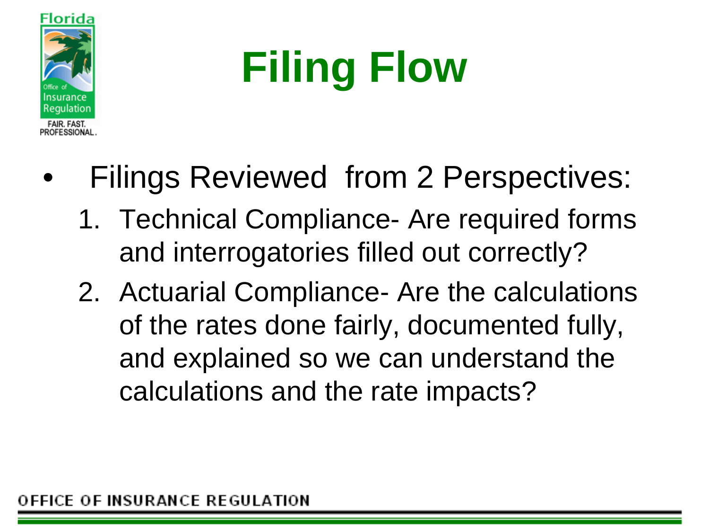

# **Filing Flow**

- Filings Reviewed from 2 Perspectives:
	- 1. Technical Compliance- Are required forms and interrogatories filled out correctly?
	- 2. Actuarial Compliance- Are the calculations of the rates done fairly, documented fully, and explained so we can understand the calculations and the rate impacts?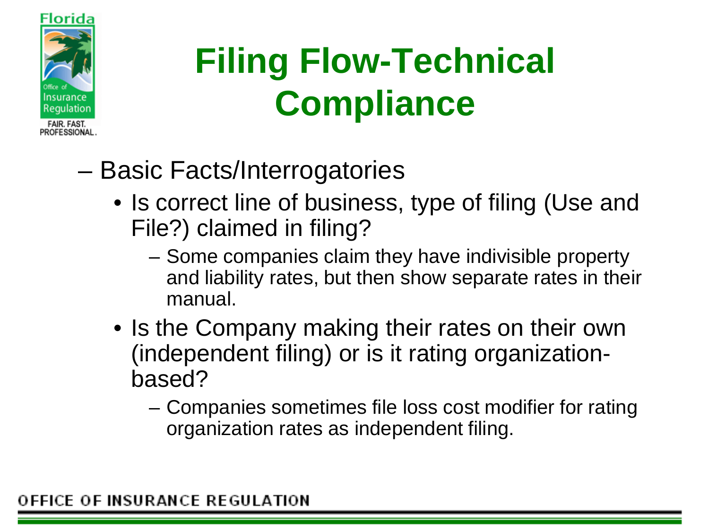

## **Filing Flow-Technical Compliance**

- Basic Facts/Interrogatories
	- Is correct line of business, type of filing (Use and File?) claimed in filing?
		- Some companies claim they have indivisible property and liability rates, but then show separate rates in their manual.
	- Is the Company making their rates on their own (independent filing) or is it rating organizationbased?
		- Companies sometimes file loss cost modifier for rating organization rates as independent filing.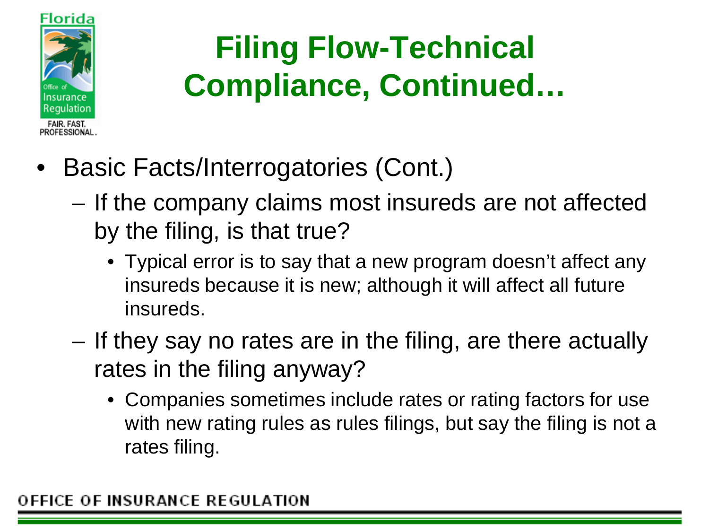

- Basic Facts/Interrogatories (Cont.)
	- If the company claims most insureds are not affected by the filing, is that true?
		- Typical error is to say that a new program doesn't affect any insureds because it is new; although it will affect all future insureds.
	- If they say no rates are in the filing, are there actually rates in the filing anyway?
		- Companies sometimes include rates or rating factors for use with new rating rules as rules filings, but say the filing is not a rates filing.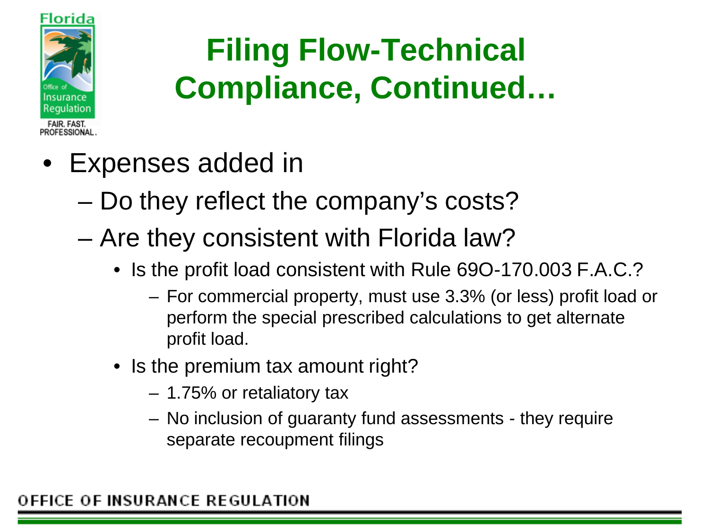

- Expenses added in
	- Do they reflect the company's costs?
	- Are they consistent with Florida law?
		- Is the profit load consistent with Rule 69O-170.003 F.A.C.?
			- For commercial property, must use 3.3% (or less) profit load or perform the special prescribed calculations to get alternate profit load.
		- Is the premium tax amount right?
			- 1.75% or retaliatory tax
			- No inclusion of guaranty fund assessments they require separate recoupment filings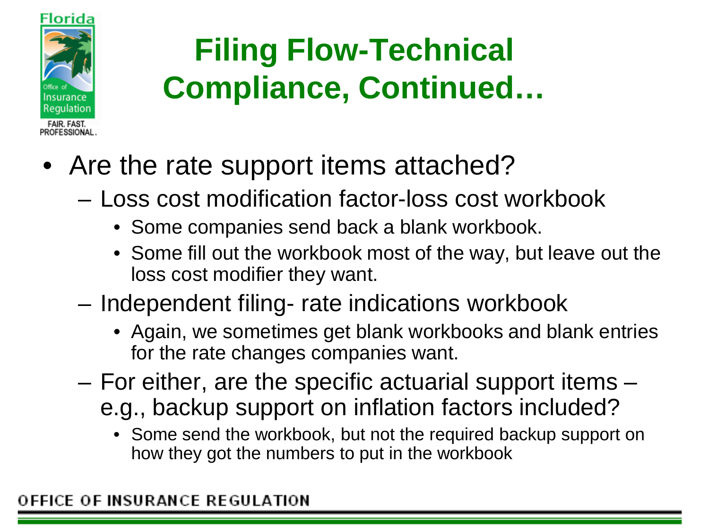

- Are the rate support items attached?
	- Loss cost modification factor-loss cost workbook
		- Some companies send back a blank workbook.
		- Some fill out the workbook most of the way, but leave out the loss cost modifier they want.
	- Independent filing- rate indications workbook
		- Again, we sometimes get blank workbooks and blank entries for the rate changes companies want.
	- For either, are the specific actuarial support items e.g., backup support on inflation factors included?
		- Some send the workbook, but not the required backup support on how they got the numbers to put in the workbook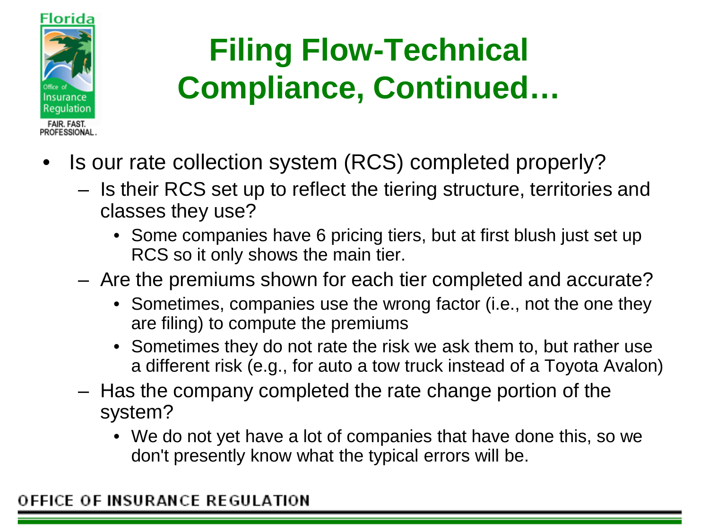

- Is our rate collection system (RCS) completed properly?
	- Is their RCS set up to reflect the tiering structure, territories and classes they use?
		- Some companies have 6 pricing tiers, but at first blush just set up RCS so it only shows the main tier.
	- Are the premiums shown for each tier completed and accurate?
		- Sometimes, companies use the wrong factor (i.e., not the one they are filing) to compute the premiums
		- Sometimes they do not rate the risk we ask them to, but rather use a different risk (e.g., for auto a tow truck instead of a Toyota Avalon)
	- Has the company completed the rate change portion of the system?
		- We do not yet have a lot of companies that have done this, so we don't presently know what the typical errors will be.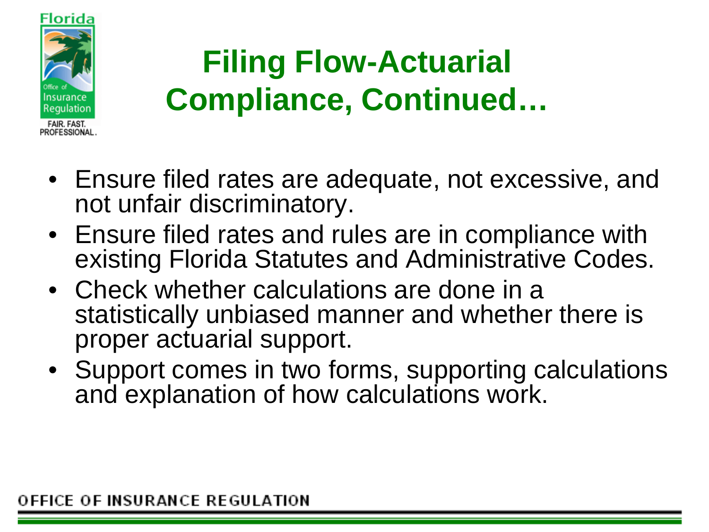

- Ensure filed rates are adequate, not excessive, and not unfair discriminatory.
- Ensure filed rates and rules are in compliance with existing Florida Statutes and Administrative Codes.
- Check whether calculations are done in a statistically unbiased manner and whether there is proper actuarial support.
- Support comes in two forms, supporting calculations and explanation of how calculations work.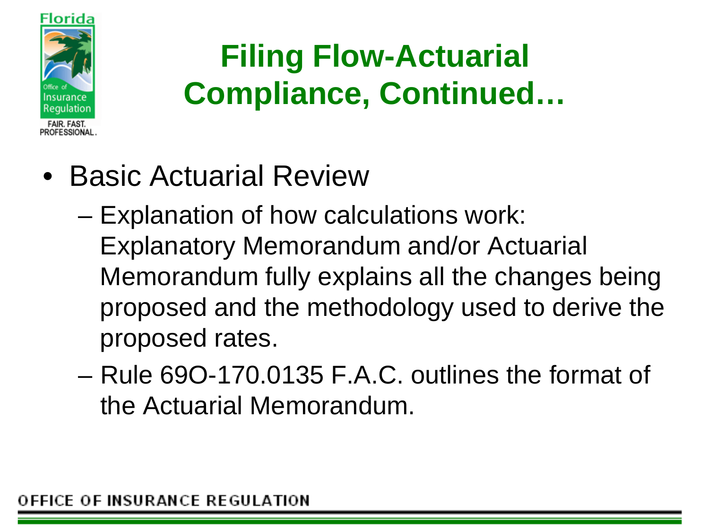

- Basic Actuarial Review
	- Explanation of how calculations work: Explanatory Memorandum and/or Actuarial Memorandum fully explains all the changes being proposed and the methodology used to derive the proposed rates.
	- Rule 69O-170.0135 F.A.C. outlines the format of the Actuarial Memorandum.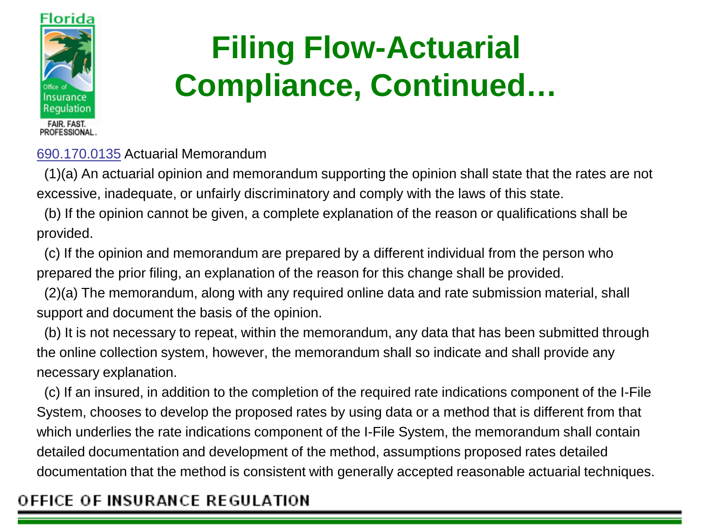

690.170.0135 Actuarial Memorandum

(1)(a) An actuarial opinion and memorandum supporting the opinion shall state that the rates are not excessive, inadequate, or unfairly discriminatory and comply with the laws of this state.

(b) If the opinion cannot be given, a complete explanation of the reason or qualifications shall be provided.

(c) If the opinion and memorandum are prepared by a different individual from the person who prepared the prior filing, an explanation of the reason for this change shall be provided.

(2)(a) The memorandum, along with any required online data and rate submission material, shall support and document the basis of the opinion.

(b) It is not necessary to repeat, within the memorandum, any data that has been submitted through the online collection system, however, the memorandum shall so indicate and shall provide any necessary explanation.

(c) If an insured, in addition to the completion of the required rate indications component of the I-File System, chooses to develop the proposed rates by using data or a method that is different from that which underlies the rate indications component of the I-File System, the memorandum shall contain detailed documentation and development of the method, assumptions proposed rates detailed documentation that the method is consistent with generally accepted reasonable actuarial techniques.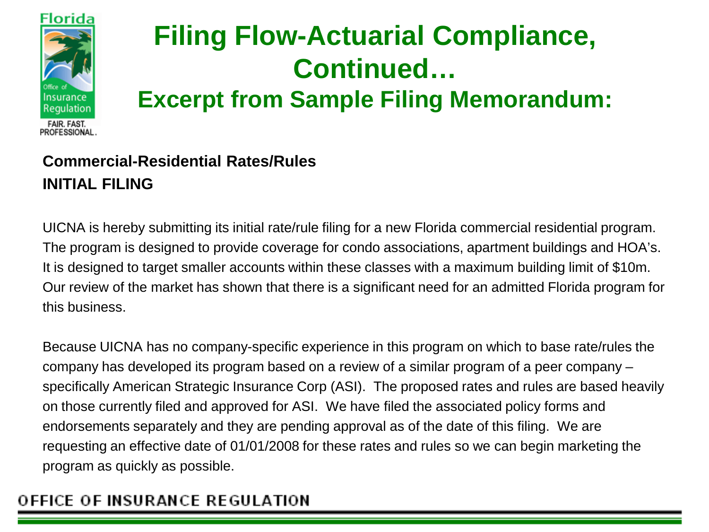

**Excerpt from Sample Filing Memorandum:**

#### **Commercial-Residential Rates/Rules INITIAL FILING**

UICNA is hereby submitting its initial rate/rule filing for a new Florida commercial residential program. The program is designed to provide coverage for condo associations, apartment buildings and HOA's. It is designed to target smaller accounts within these classes with a maximum building limit of \$10m. Our review of the market has shown that there is a significant need for an admitted Florida program for this business.

Because UICNA has no company-specific experience in this program on which to base rate/rules the company has developed its program based on a review of a similar program of a peer company – specifically American Strategic Insurance Corp (ASI). The proposed rates and rules are based heavily on those currently filed and approved for ASI. We have filed the associated policy forms and endorsements separately and they are pending approval as of the date of this filing. We are requesting an effective date of 01/01/2008 for these rates and rules so we can begin marketing the program as quickly as possible.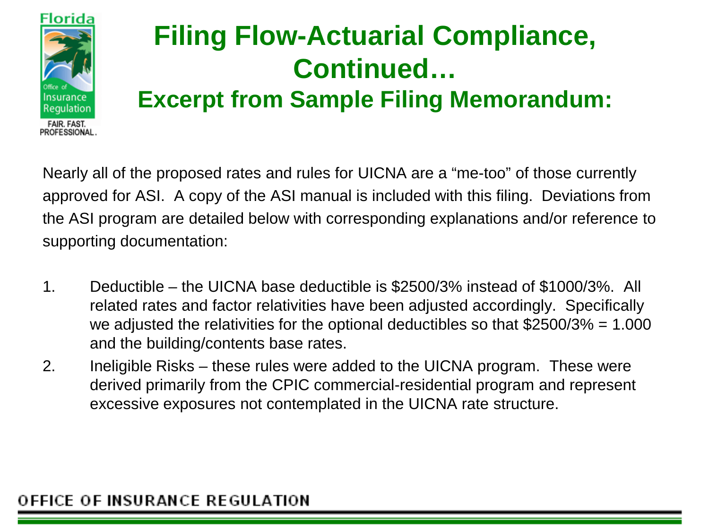

#### **Excerpt from Sample Filing Memorandum:**

Nearly all of the proposed rates and rules for UICNA are a "me-too" of those currently approved for ASI. A copy of the ASI manual is included with this filing. Deviations from the ASI program are detailed below with corresponding explanations and/or reference to supporting documentation:

- 1. Deductible the UICNA base deductible is \$2500/3% instead of \$1000/3%. All related rates and factor relativities have been adjusted accordingly. Specifically we adjusted the relativities for the optional deductibles so that \$2500/3% = 1.000 and the building/contents base rates.
- 2. Ineligible Risks these rules were added to the UICNA program. These were derived primarily from the CPIC commercial-residential program and represent excessive exposures not contemplated in the UICNA rate structure.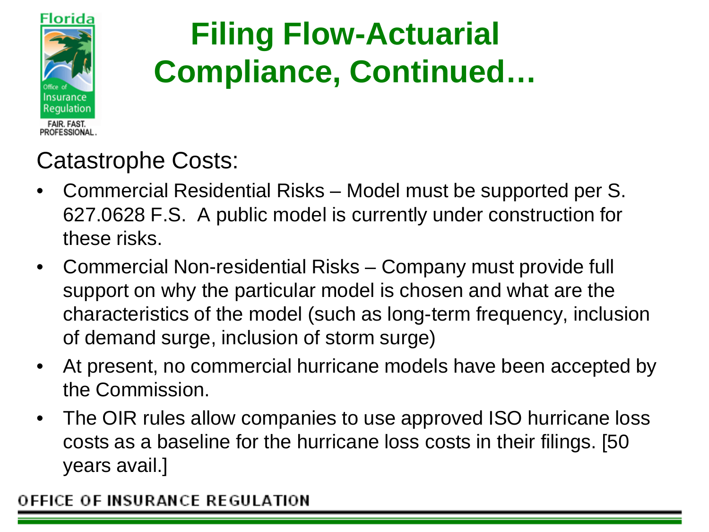

#### Catastrophe Costs:

- Commercial Residential Risks Model must be supported per S. 627.0628 F.S. A public model is currently under construction for these risks.
- Commercial Non-residential Risks Company must provide full support on why the particular model is chosen and what are the characteristics of the model (such as long-term frequency, inclusion of demand surge, inclusion of storm surge)
- At present, no commercial hurricane models have been accepted by the Commission.
- The OIR rules allow companies to use approved ISO hurricane loss costs as a baseline for the hurricane loss costs in their filings. [50 years avail.]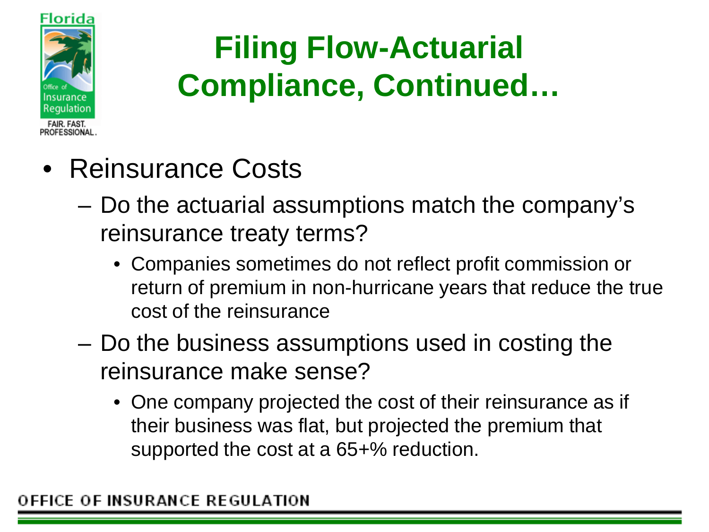

- Reinsurance Costs
	- Do the actuarial assumptions match the company's reinsurance treaty terms?
		- Companies sometimes do not reflect profit commission or return of premium in non-hurricane years that reduce the true cost of the reinsurance
	- Do the business assumptions used in costing the reinsurance make sense?
		- One company projected the cost of their reinsurance as if their business was flat, but projected the premium that supported the cost at a 65+% reduction.